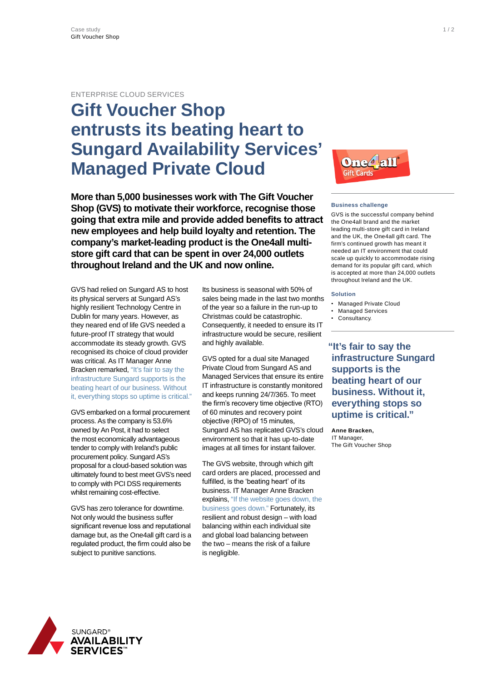## ENTERPRISE CLOUD SERVICES

# **Gift Voucher Shop entrusts its beating heart to Sungard Availability Services' Managed Private Cloud**

**More than 5,000 businesses work with The Gift Voucher Shop (GVS) to motivate their workforce, recognise those going that extra mile and provide added benefits to attract new employees and help build loyalty and retention. The company's market-leading product is the One4all multistore gift card that can be spent in over 24,000 outlets throughout Ireland and the UK and now online.**

GVS had relied on Sungard AS to host its physical servers at Sungard AS's highly resilient Technology Centre in Dublin for many years. However, as they neared end of life GVS needed a future-proof IT strategy that would accommodate its steady growth. GVS recognised its choice of cloud provider was critical. As IT Manager Anne Bracken remarked, "It's fair to say the infrastructure Sungard supports is the beating heart of our business. Without it, everything stops so uptime is critical."

GVS embarked on a formal procurement process. As the company is 53.6% owned by An Post, it had to select the most economically advantageous tender to comply with Ireland's public procurement policy. Sungard AS's proposal for a cloud-based solution was ultimately found to best meet GVS's need to comply with PCI DSS requirements whilst remaining cost-effective.

GVS has zero tolerance for downtime. Not only would the business suffer significant revenue loss and reputational damage but, as the One4all gift card is a regulated product, the firm could also be subject to punitive sanctions.

Its business is seasonal with 50% of sales being made in the last two months of the year so a failure in the run-up to Christmas could be catastrophic. Consequently, it needed to ensure its IT infrastructure would be secure, resilient and highly available.

GVS opted for a dual site Managed Private Cloud from Sungard AS and Managed Services that ensure its entire IT infrastructure is constantly monitored and keeps running 24/7/365. To meet the firm's recovery time objective (RTO) of 60 minutes and recovery point objective (RPO) of 15 minutes, Sungard AS has replicated GVS's cloud environment so that it has up-to-date images at all times for instant failover.

The GVS website, through which gift card orders are placed, processed and fulfilled, is the 'beating heart' of its business. IT Manager Anne Bracken explains, "If the website goes down, the business goes down." Fortunately, its resilient and robust design – with load balancing within each individual site and global load balancing between the two – means the risk of a failure is negligible.



### **Business challenge**

GVS is the successful company behind the One4all brand and the market leading multi-store gift card in Ireland and the UK, the One4all gift card. The firm's continued growth has meant it needed an IT environment that could scale up quickly to accommodate rising demand for its popular gift card, which is accepted at more than 24,000 outlets throughout Ireland and the UK.

### **Solution**

- **Managed Private Cloud**
- **Managed Services**
- Consultancy.

**"It's fair to say the infrastructure Sungard supports is the beating heart of our business. Without it, everything stops so uptime is critical."**

**Anne Bracken,** IT Manager The Gift Voucher Shop